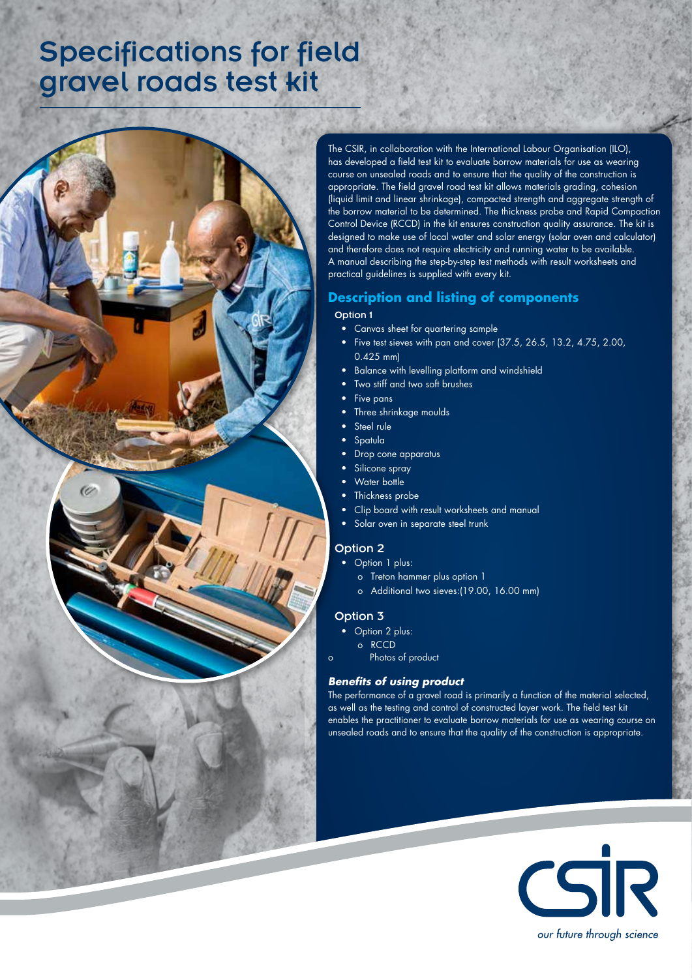# Specifications for field gravel roads test kit

60



# **Description and listing of components**

#### Option 1

- • Canvas sheet for quartering sample
- Five test sieves with pan and cover (37.5, 26.5, 13.2, 4.75, 2.00, 0.425 mm)
- Balance with levelling platform and windshield
- Two stiff and two soft brushes
- Five pans
- Three shrinkage moulds
- • Steel rule
- **Spatula**
- Drop cone apparatus
- Silicone spray
- Water bottle
- Thickness probe
- Clip board with result worksheets and manual
- Solar oven in separate steel trunk

## Option 2

- Option 1 plus:
	- o Treton hammer plus option 1
	- o Additional two sieves:(19.00, 16.00 mm)

#### Option 3

- Option 2 plus:
- o RCCD
- Photos of product

## *Benefits of using product*

The performance of a gravel road is primarily a function of the material selected, as well as the testing and control of constructed layer work. The field test kit enables the practitioner to evaluate borrow materials for use as wearing course on unsealed roads and to ensure that the quality of the construction is appropriate.